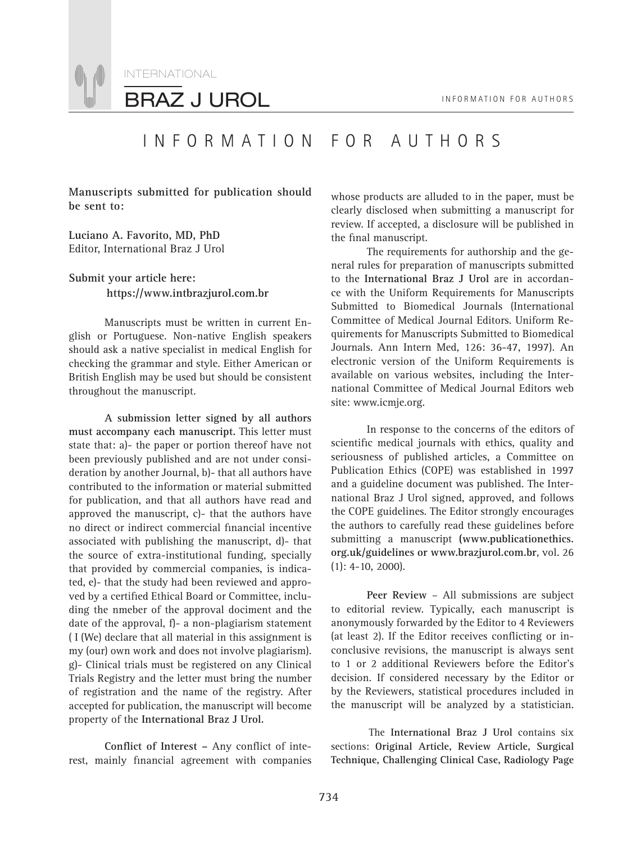

## INFORMATION FOR AUTHORS

**Manuscripts submitted for publication should be sent to:**

**Luciano A. Favorito, MD, PhD** Editor, International Braz J Urol

#### **Submit your article here: https://www.intbrazjurol.com.br**

Manuscripts must be written in current English or Portuguese. Non-native English speakers should ask a native specialist in medical English for checking the grammar and style. Either American or British English may be used but should be consistent throughout the manuscript.

**A submission letter signed by all authors must accompany each manuscript.** This letter must state that: a)- the paper or portion thereof have not been previously published and are not under consideration by another Journal, b)- that all authors have contributed to the information or material submitted for publication, and that all authors have read and approved the manuscript, c)- that the authors have no direct or indirect commercial financial incentive associated with publishing the manuscript, d)- that the source of extra-institutional funding, specially that provided by commercial companies, is indicated, e)- that the study had been reviewed and approved by a certified Ethical Board or Committee, including the nmeber of the approval dociment and the date of the approval, f)- a non-plagiarism statement ( I (We) declare that all material in this assignment is my (our) own work and does not involve plagiarism). g)- Clinical trials must be registered on any Clinical Trials Registry and the letter must bring the number of registration and the name of the registry. After accepted for publication, the manuscript will become property of the **International Braz J Urol.**

Conflict of Interest - Any conflict of interest, mainly financial agreement with companies whose products are alluded to in the paper, must be clearly disclosed when submitting a manuscript for review. If accepted, a disclosure will be published in the final manuscript.

The requirements for authorship and the general rules for preparation of manuscripts submitted to the **International Braz J Urol** are in accordance with the Uniform Requirements for Manuscripts Submitted to Biomedical Journals (International Committee of Medical Journal Editors. Uniform Requirements for Manuscripts Submitted to Biomedical Journals. Ann Intern Med, 126: 36-47, 1997). An electronic version of the Uniform Requirements is available on various websites, including the International Committee of Medical Journal Editors web site: www.icmje.org.

In response to the concerns of the editors of scientific medical journals with ethics, quality and seriousness of published articles, a Committee on Publication Ethics (COPE) was established in 1997 and a guideline document was published. The International Braz J Urol signed, approved, and follows the COPE guidelines. The Editor strongly encourages the authors to carefully read these guidelines before submitting a manuscript **(www.publicationethics. org.uk/guidelines or www.brazjurol.com.br**, vol. 26 (1): 4-10, 2000).

**Peer Review** – All submissions are subject to editorial review. Typically, each manuscript is anonymously forwarded by the Editor to 4 Reviewers (at least 2). If the Editor receives conflicting or inconclusive revisions, the manuscript is always sent to 1 or 2 additional Reviewers before the Editor's decision. If considered necessary by the Editor or by the Reviewers, statistical procedures included in the manuscript will be analyzed by a statistician.

The **International Braz J Urol** contains six sections: **Original Article, Review Article, Surgical Technique, Challenging Clinical Case, Radiology Page**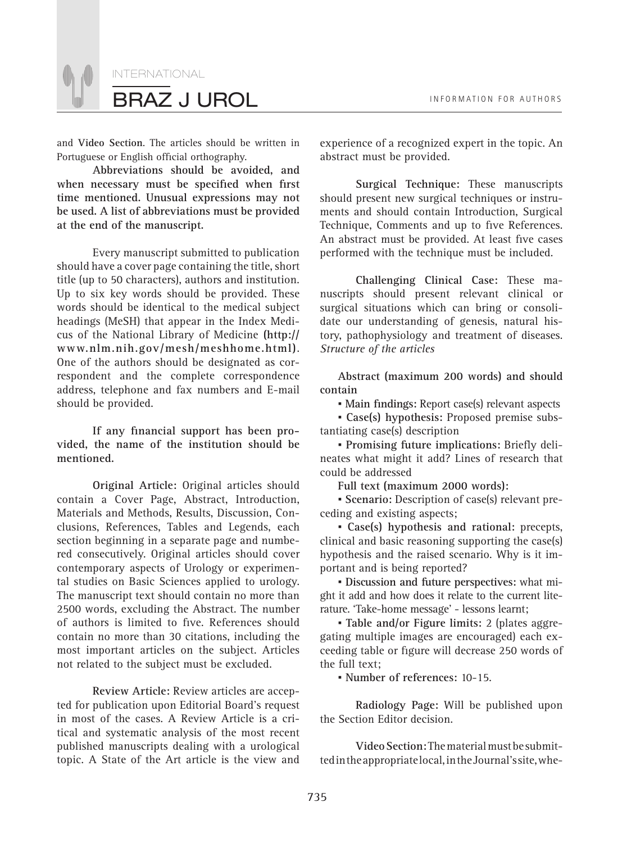

and **Video Section**. The articles should be written in Portuguese or English official orthography.

**Abbreviations should be avoided, and**  when necessary must be specified when first **time mentioned. Unusual expressions may not be used. A list of abbreviations must be provided at the end of the manuscript.** 

Every manuscript submitted to publication should have a cover page containing the title, short title (up to 50 characters), authors and institution. Up to six key words should be provided. These words should be identical to the medical subject headings (MeSH) that appear in the Index Medicus of the National Library of Medicine **(http:// www.nlm.nih.gov/mesh/meshhome.html)**. One of the authors should be designated as correspondent and the complete correspondence address, telephone and fax numbers and E-mail should be provided.

If any financial support has been pro**vided, the name of the institution should be mentioned.**

**Original Article:** Original articles should contain a Cover Page, Abstract, Introduction, Materials and Methods, Results, Discussion, Conclusions, References, Tables and Legends, each section beginning in a separate page and numbered consecutively. Original articles should cover contemporary aspects of Urology or experimental studies on Basic Sciences applied to urology. The manuscript text should contain no more than 2500 words, excluding the Abstract. The number of authors is limited to five. References should contain no more than 30 citations, including the most important articles on the subject. Articles not related to the subject must be excluded.

**Review Article:** Review articles are accepted for publication upon Editorial Board's request in most of the cases. A Review Article is a critical and systematic analysis of the most recent published manuscripts dealing with a urological topic. A State of the Art article is the view and

experience of a recognized expert in the topic. An abstract must be provided.

**Surgical Technique:** These manuscripts should present new surgical techniques or instruments and should contain Introduction, Surgical Technique, Comments and up to five References. An abstract must be provided. At least five cases performed with the technique must be included.

**Challenging Clinical Case:** These manuscripts should present relevant clinical or surgical situations which can bring or consolidate our understanding of genesis, natural history, pathophysiology and treatment of diseases. *Structure of the articles*

**Abstract (maximum 200 words) and should contain**

**• Main findings: Report case(s) relevant aspects** 

*▪* **Case(s) hypothesis:** Proposed premise substantiating case(s) description

**• Promising future implications: Briefly deli**neates what might it add? Lines of research that could be addressed

**Full text (maximum 2000 words):**

*▪* **Scenario:** Description of case(s) relevant preceding and existing aspects;

*▪* **Case(s) hypothesis and rational:** precepts, clinical and basic reasoning supporting the case(s) hypothesis and the raised scenario. Why is it important and is being reported?

*▪* **Discussion and future perspectives:** what might it add and how does it relate to the current literature. 'Take-home message' - lessons learnt;

*▪* **Table and/or Figure limits:** 2 (plates aggregating multiple images are encouraged) each exceeding table or figure will decrease 250 words of the full text;

*▪* **Number of references:** 10-15.

**Radiology Page:** Will be published upon the Section Editor decision.

**Video Section:** The material must be submitted in the appropriate local, in the Journal's site, whe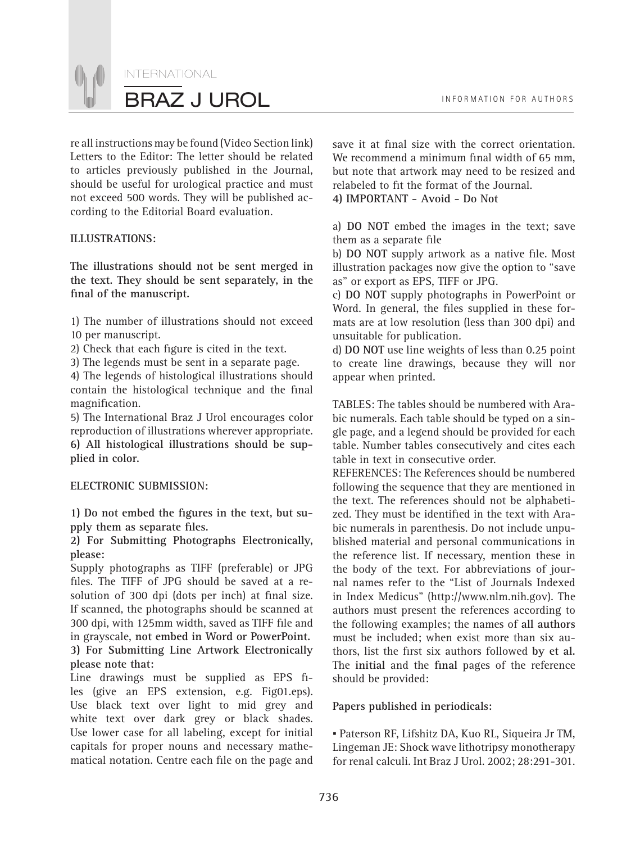INTERNATIONAL BRAZ J UROL **INFORMATION FOR AUTHORS** 

re all instructions may be found (Video Section link) Letters to the Editor: The letter should be related to articles previously published in the Journal, should be useful for urological practice and must not exceed 500 words. They will be published according to the Editorial Board evaluation.

#### **ILLUSTRATIONS:**

**The illustrations should not be sent merged in the text. They should be sent separately, in the**  final of the manuscript.

1) The number of illustrations should not exceed 10 per manuscript.

2) Check that each figure is cited in the text.

3) The legends must be sent in a separate page.

4) The legends of histological illustrations should contain the histological technique and the final magnification.

5) The International Braz J Urol encourages color reproduction of illustrations wherever appropriate. **6) All histological illustrations should be supplied in color.** 

#### **ELECTRONIC SUBMISSION:**

1) Do not embed the figures in the text, but supply them as separate files.

**2) For Submitting Photographs Electronically, please:**

Supply photographs as TIFF (preferable) or JPG files. The TIFF of JPG should be saved at a resolution of 300 dpi (dots per inch) at final size. If scanned, the photographs should be scanned at 300 dpi, with 125mm width, saved as TIFF file and in grayscale, **not embed in Word or PowerPoint. 3) For Submitting Line Artwork Electronically please note that:**

Line drawings must be supplied as EPS files (give an EPS extension, e.g. Fig01.eps). Use black text over light to mid grey and white text over dark grey or black shades. Use lower case for all labeling, except for initial capitals for proper nouns and necessary mathematical notation. Centre each file on the page and

save it at final size with the correct orientation. We recommend a minimum final width of 65 mm, but note that artwork may need to be resized and relabeled to fit the format of the Journal. **4) IMPORTANT - Avoid - Do Not**

a) **DO NOT** embed the images in the text; save them as a separate file

b) DO NOT supply artwork as a native file. Most illustration packages now give the option to "save as" or export as EPS, TIFF or JPG.

c) **DO NOT** supply photographs in PowerPoint or Word. In general, the files supplied in these formats are at low resolution (less than 300 dpi) and unsuitable for publication.

d) **DO NOT** use line weights of less than 0.25 point to create line drawings, because they will nor appear when printed.

TABLES: The tables should be numbered with Arabic numerals. Each table should be typed on a single page, and a legend should be provided for each table. Number tables consecutively and cites each table in text in consecutive order.

REFERENCES: The References should be numbered following the sequence that they are mentioned in the text. The references should not be alphabetized. They must be identified in the text with Arabic numerals in parenthesis. Do not include unpublished material and personal communications in the reference list. If necessary, mention these in the body of the text. For abbreviations of journal names refer to the "List of Journals Indexed in Index Medicus" (http://www.nlm.nih.gov). The authors must present the references according to the following examples; the names of **all authors** must be included; when exist more than six authors, list the first six authors followed by et al. The **initial** and the final pages of the reference should be provided:

#### **Papers published in periodicals:**

*▪* Paterson RF, Lifshitz DA, Kuo RL, Siqueira Jr TM, Lingeman JE: Shock wave lithotripsy monotherapy for renal calculi. Int Braz J Urol. 2002; 28:291-301.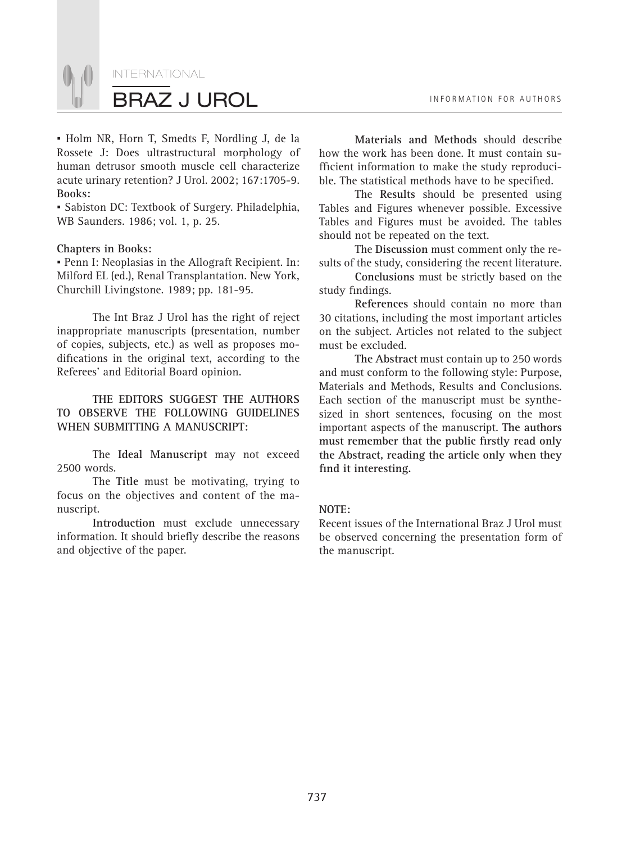

*▪* Holm NR, Horn T, Smedts F, Nordling J, de la Rossete J: Does ultrastructural morphology of human detrusor smooth muscle cell characterize acute urinary retention? J Urol. 2002; 167:1705-9. **Books:**

*▪* Sabiston DC: Textbook of Surgery. Philadelphia, WB Saunders. 1986; vol. 1, p. 25.

#### **Chapters in Books:**

*▪* Penn I: Neoplasias in the Allograft Recipient. In: Milford EL (ed.), Renal Transplantation. New York, Churchill Livingstone. 1989; pp. 181-95.

The Int Braz J Urol has the right of reject inappropriate manuscripts (presentation, number of copies, subjects, etc.) as well as proposes modifications in the original text, according to the Referees' and Editorial Board opinion.

**THE EDITORS SUGGEST THE AUTHORS TO OBSERVE THE FOLLOWING GUIDELINES WHEN SUBMITTING A MANUSCRIPT:**

The **Ideal Manuscript** may not exceed 2500 words.

The **Title** must be motivating, trying to focus on the objectives and content of the manuscript.

**Introduction** must exclude unnecessary information. It should briefly describe the reasons and objective of the paper.

**Materials and Methods** should describe how the work has been done. It must contain sufficient information to make the study reproducible. The statistical methods have to be specified.

The **Results** should be presented using Tables and Figures whenever possible. Excessive Tables and Figures must be avoided. The tables should not be repeated on the text.

The **Discussion** must comment only the results of the study, considering the recent literature.

**Conclusions** must be strictly based on the study findings.

**References** should contain no more than 30 citations, including the most important articles on the subject. Articles not related to the subject must be excluded.

**The Abstract** must contain up to 250 words and must conform to the following style: Purpose, Materials and Methods, Results and Conclusions. Each section of the manuscript must be synthesized in short sentences, focusing on the most important aspects of the manuscript. **The authors**  must remember that the public firstly read only **the Abstract, reading the article only when they**  find it interesting.

#### **NOTE:**

Recent issues of the International Braz J Urol must be observed concerning the presentation form of the manuscript.